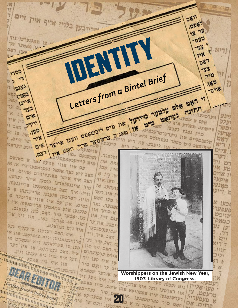圖 管 בלוח אויף איין זיים **DB11 ,008** ארויבעו  $18 - 18$ חשל מרתו זיד  $-080$ TENTIN 12. נע ו פשטער -125 128 **DB7** -33 **1703** Letters from a Bintel Brief  $5 - 12$ Y ,180  $\mathbf{r}$ 77 75257 -0714 **CALL CON SUTTING TO BASTIC DIST DIST**  $\mathbf{R}$ איתן השב בצף גם של 被 **D'\*** ווער מהעי אַנע שלם א למעני ביו איל **1277 12871 05600 217 078 1140** עלע ייר **DAD - STR** שלם א נענדע איר  $287 - 3$ WD AN DESWAY D'D WWW כעבעו מבעו<br>ניעדערטרעכמינג **SFT 18 38.790** סיין גשניו ארעי ו ניעדערטרפכי וויא פוז<br>פעהר נעוואופס וויא פוז  $-1720$ つき פלעכסקיים ער היים. אוסם וישו ריא ראם הוחשב בים MIT. אים וינע ינעראנק **CIN11** ציים ka. 11D. - פנשטפליכנו לאד א כשנאם 10 עהענעט ניירענשאפטלי. The Ph יום לוודענסטטניו שוועל לאד ש. או אב<br>עם איז אווי אפשל נעםראפעורביי או אב<br>האב זוא נאד אמעסיהרם אהר ועהעה  $777$ **M-**אין שבל 'N DE עם אין שמשל נעמראפעו ב. און<br>השב זיא נצד שמשל שמונים שהיים. און<br>השב איד איהר שפנעםיהרם איהר ועהעו ז אוים  $812.3$ ויא איהר שפנעפיהרס פיי<br>איד איהר קוסעו איהר ועהעה<br>שיינגעלאדעו קוסאנגעו שריינגעהו פיקעל TIR. İNIT שב איי מלאדעו קומעו ארייננעתו<br>סיר שייננעלאדעו שרייננעתו של ס<br>וויל. איד השב שננעסאנגעו שריינגעתו ש ועחעו. או סאַגע אר שייר השב שננעסאנגעו של סוף<br>וויל. איד השב שננגעו שריינגעות של<br>הויז. רשרטעו שלעגעו שריכער ש ירועו ן איו רוס ארטעו פלענעו ארייבער א<br>אין עם איז אווי אריבער א<br>אין עם איז ארויסנעהו אוו סעו האם וויו, ושו עם איז שווי שווי אוז ו<br>בשים, אין עם צוואמען שרויסנעהן אוז ו<br>פלענען שלע צוואמען פינו נעואנם. N 11121 אסער. נאר בשים צוואסעו שרויטיעוס.<br>סיר האט סעו נעואנס. **מעפער** א פוחר און המס, פיין זיר אר קויפט בען. אבער <sub>בנם ויין</sub> אי PNDD שויו שו שנרגד ומעו. אות של .<br>נום נעוואלס.<br>אוד האב דעדפון שרעקליה או. אי איר נום נעוואלם. נע שביעת סוכבר W וי מות חשב רערפון שו עוד אין אי<br>ארוסיבעואנגען וויא צוסיסטי און אי<br>ארוסיבעואנגען ריא סטשלט אי .3"M. 287 ...<br>על פערכעועו ריא שמשלם אין<br>עו פערכעועו ריא שמו דער  $111$ ועל פיד NIT = השם . דוד . בוא I'N IN **TUD** יים הלכו  $.7717$ ד הש<br>איאם ערכלעהרם  $-387.718$ שויו גים ולינ הינל איל **IDP SIN** 动体 ער וועם פיל ilm N וב עו ישכארס Worshippers on the Jewish New Year, ועל זיך 1907. Library of Congress.<br>וון איל זון איל נוס נקבלת וועל איה ארבייסטו און איל זון.<br>נסט, צי איה ארפטו וועל איה ארבייסטו 竹屋 **1907. Library of Congress.** רערשלאנעו קיין. שבעליפא. אחן איתם. פיין פאמע<br>רערשלאנעו קיין. שבעליפא על פיר נקהיים: etter Stoma Bigt darien עשני אליי 恐力 טרעםערי? ותם עד 'סחים. אם 海外的物理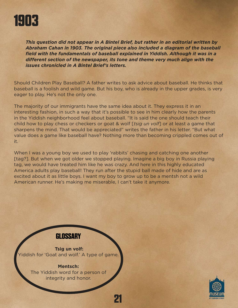

*This question did not appear in A Bintel Brief, but rather in an editorial written by Abraham Cahan in 1903. The original piece also included a diagram of the baseball field with the fundamentals of baseball explained in Yiddish. Although it was in a different section of the newspaper, its tone and theme very much align with the issues chronicled in A Bintel Brief's letters.*

Should Children Play Baseball? A father writes to ask advice about baseball. He thinks that baseball is a foolish and wild game. But his boy, who is already in the upper grades, is very eager to play. He's not the only one.

The majority of our immigrants have the same idea about it. They express it in an interesting fashion, in such a way that it's possible to see in him clearly how the parents in the Yiddish neighborhood feel about baseball. "It is said the one should teach their child how to play chess or checkers or goat & wolf [*tsig un volf*] or at least a game that sharpens the mind. That would be appreciated" writes the father in his letter. "But what value does a game like baseball have? Nothing more than becoming crippled comes out of it.

When I was a young boy we used to play 'rabbits' chasing and catching one another [tag?]. But when we got older we stopped playing. Imagine a big boy in Russia playing tag, we would have treated him like he was crazy. And here in this highly educated America adults play baseball! They run after the stupid ball made of hide and are as excited about it as little boys. I want my boy to grow up to be a mentsh not a wild American runner. He's making me miserable, I can't take it anymore.

**21**

# **GLOSSARY**

**Tsig un volf:**  Yiddish for 'Goat and wolf.' A type of game.

#### **Mentsch:**

The Yiddish word for a person of integrity and honor.

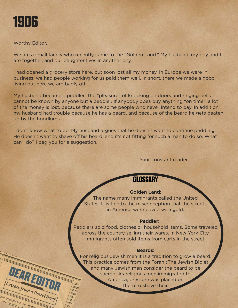

## Worthy Editor,

DEARED

etters from a Bintel Brief

We are a small family who recently came to the "Golden Land." My husband, my boy and I are together, and our daughter lives in another city.

I had opened a grocery store here, but soon lost all my money. In Europe we were in business; we had people working for us paid them well. In short, there we made a good living but here we are badly off.

My husband became a peddler. The "pleasure" of knocking on doors and ringing bells cannot be known by anyone but a peddler. If anybody does buy anything "on time," a lot of the money is lost, because there are some people who never intend to pay. In addition, my husband had trouble because he has a beard, and because of the beard he gets beaten up by the hoodlums.

I don't know what to do. My husband argues that he doesn't want to continue peddling. He doesn't want to shave off his beard, and it's not fitting for such a man to do so. What can I do? I beg you for a suggestion.

Your constant reader,

# **GLOSSARY**

### **Golden Land:**

The name many immigrants called the United States. It is tied to the misconception that the streets in America were paved with gold.

#### **Peddler:**

Peddlers sold food, clothes or household items. Some traveled across the country selling their wares. In New York City immigrants often sold items from carts in the street.

### **Beards:**

For religious Jewish men it is a tradition to grow a beard. This practice comes from the Torah (The Jewish Bible) and many Jewish men consider the beard to be sacred. As religious men immigrated to America, pressure was placed on them to shave their